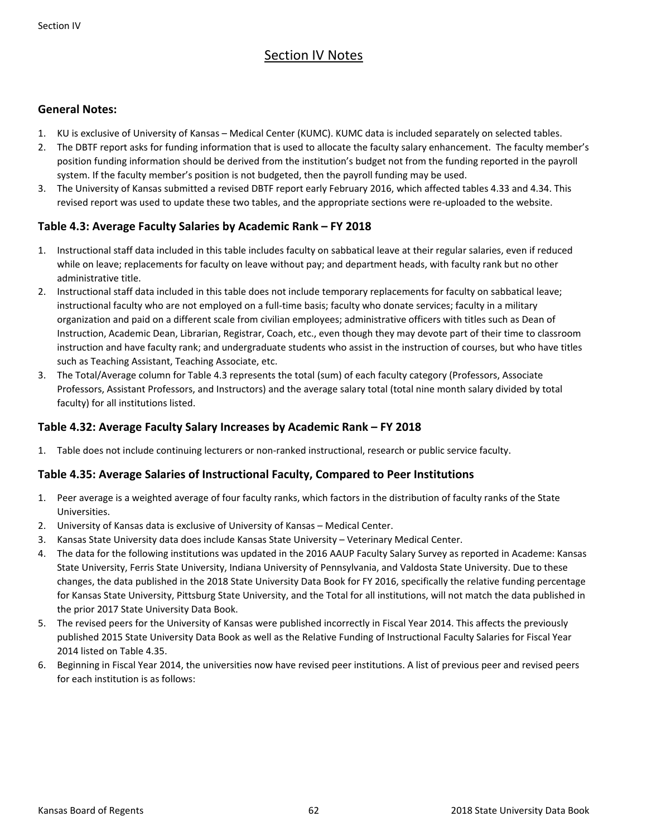# Section IV Notes

## **General Notes:**

- 1. KU is exclusive of University of Kansas Medical Center (KUMC). KUMC data is included separately on selected tables.
- 2. The DBTF report asks for funding information that is used to allocate the faculty salary enhancement. The faculty member's position funding information should be derived from the institution's budget not from the funding reported in the payroll system. If the faculty member's position is not budgeted, then the payroll funding may be used.
- 3. The University of Kansas submitted a revised DBTF report early February 2016, which affected tables 4.33 and 4.34. This revised report was used to update these two tables, and the appropriate sections were re‐uploaded to the website.

## **Table 4.3: Average Faculty Salaries by Academic Rank – FY 2018**

- 1. Instructional staff data included in this table includes faculty on sabbatical leave at their regular salaries, even if reduced while on leave; replacements for faculty on leave without pay; and department heads, with faculty rank but no other administrative title.
- 2. Instructional staff data included in this table does not include temporary replacements for faculty on sabbatical leave; instructional faculty who are not employed on a full-time basis; faculty who donate services; faculty in a military organization and paid on a different scale from civilian employees; administrative officers with titles such as Dean of Instruction, Academic Dean, Librarian, Registrar, Coach, etc., even though they may devote part of their time to classroom instruction and have faculty rank; and undergraduate students who assist in the instruction of courses, but who have titles such as Teaching Assistant, Teaching Associate, etc.
- 3. The Total/Average column for Table 4.3 represents the total (sum) of each faculty category (Professors, Associate Professors, Assistant Professors, and Instructors) and the average salary total (total nine month salary divided by total faculty) for all institutions listed.

## **Table 4.32: Average Faculty Salary Increases by Academic Rank – FY 2018**

1. Table does not include continuing lecturers or non‐ranked instructional, research or public service faculty.

## **Table 4.35: Average Salaries of Instructional Faculty, Compared to Peer Institutions**

- 1. Peer average is a weighted average of four faculty ranks, which factors in the distribution of faculty ranks of the State Universities.
- 2. University of Kansas data is exclusive of University of Kansas Medical Center.
- 3. Kansas State University data does include Kansas State University Veterinary Medical Center.
- 4. The data for the following institutions was updated in the 2016 AAUP Faculty Salary Survey as reported in Academe: Kansas State University, Ferris State University, Indiana University of Pennsylvania, and Valdosta State University. Due to these changes, the data published in the 2018 State University Data Book for FY 2016, specifically the relative funding percentage for Kansas State University, Pittsburg State University, and the Total for all institutions, will not match the data published in the prior 2017 State University Data Book.
- 5. The revised peers for the University of Kansas were published incorrectly in Fiscal Year 2014. This affects the previously published 2015 State University Data Book as well as the Relative Funding of Instructional Faculty Salaries for Fiscal Year 2014 listed on Table 4.35.
- 6. Beginning in Fiscal Year 2014, the universities now have revised peer institutions. A list of previous peer and revised peers for each institution is as follows: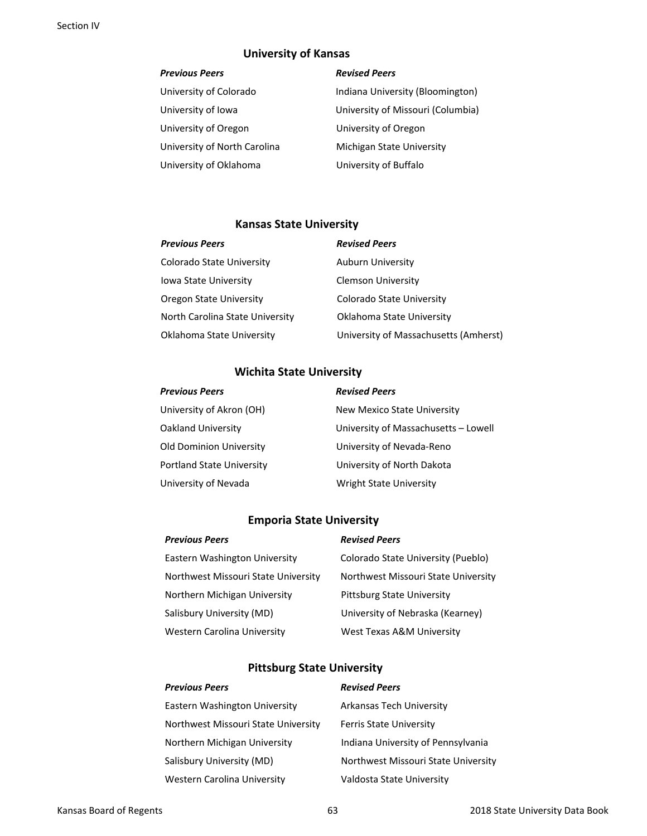## **University of Kansas**

| University of Colorado       | Indiana University (Bloomi  |
|------------------------------|-----------------------------|
| University of Iowa           | University of Missouri (Col |
| University of Oregon         | University of Oregon        |
| University of North Carolina | Michigan State University   |
| University of Oklahoma       | University of Buffalo       |

#### *Previous Peers Revised Peers*

University of Colorado Indiana University (Bloomington) University of Iowa University of Missouri (Columbia)

### **Kansas State University**

| <b>Previous Peers</b>           | <b>Revised Peers</b>                  |
|---------------------------------|---------------------------------------|
| Colorado State University       | Auburn University                     |
| <b>Iowa State University</b>    | <b>Clemson University</b>             |
| Oregon State University         | Colorado State University             |
| North Carolina State University | Oklahoma State University             |
| Oklahoma State University       | University of Massachusetts (Amherst) |

## **Wichita State University**

| <b>Previous Peers</b>            | <b>Revised Peers</b>                 |
|----------------------------------|--------------------------------------|
| University of Akron (OH)         | New Mexico State University          |
| Oakland University               | University of Massachusetts - Lowell |
| <b>Old Dominion University</b>   | University of Nevada-Reno            |
| <b>Portland State University</b> | University of North Dakota           |
| University of Nevada             | <b>Wright State University</b>       |

## **Emporia State University**

| <b>Previous Peers</b>               | <b>Revised Peers</b>                |
|-------------------------------------|-------------------------------------|
| Eastern Washington University       | Colorado State University (Pueblo)  |
| Northwest Missouri State University | Northwest Missouri State University |
| Northern Michigan University        | Pittsburg State University          |
| Salisbury University (MD)           | University of Nebraska (Kearney)    |
| Western Carolina University         | West Texas A&M University           |

## **Pittsburg State University**

| <b>Previous Peers</b>               | <b>Revised Peers</b>                |
|-------------------------------------|-------------------------------------|
| Eastern Washington University       | Arkansas Tech University            |
| Northwest Missouri State University | <b>Ferris State University</b>      |
| Northern Michigan University        | Indiana University of Pennsylvania  |
| Salisbury University (MD)           | Northwest Missouri State University |
| <b>Western Carolina University</b>  | Valdosta State University           |